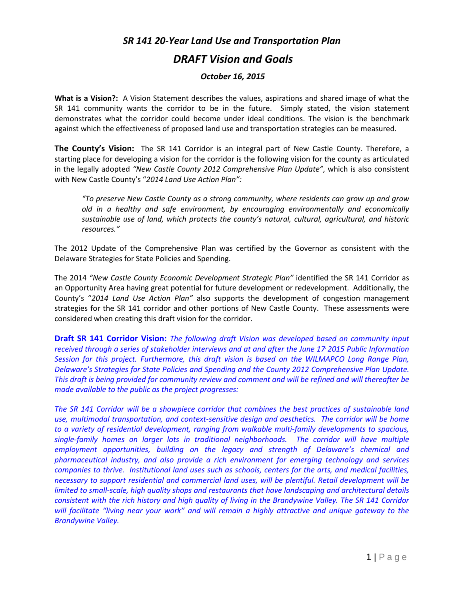## *SR 141 20-Year Land Use and Transportation Plan DRAFT Vision and Goals*

## *October 16, 2015*

**What is a Vision?:** A Vision Statement describes the values, aspirations and shared image of what the SR 141 community wants the corridor to be in the future. Simply stated, the vision statement demonstrates what the corridor could become under ideal conditions. The vision is the benchmark against which the effectiveness of proposed land use and transportation strategies can be measured.

**The County's Vision:** The SR 141 Corridor is an integral part of New Castle County. Therefore, a starting place for developing a vision for the corridor is the following vision for the county as articulated in the legally adopted *"New Castle County 2012 Comprehensive Plan Update"*, which is also consistent with New Castle County's "*2014 Land Use Action Plan":*

*"To preserve New Castle County as a strong community, where residents can grow up and grow old in a healthy and safe environment, by encouraging environmentally and economically sustainable use of land, which protects the county's natural, cultural, agricultural, and historic resources."*

The 2012 Update of the Comprehensive Plan was certified by the Governor as consistent with the Delaware Strategies for State Policies and Spending.

The 2014 *"New Castle County Economic Development Strategic Plan"* identified the SR 141 Corridor as an Opportunity Area having great potential for future development or redevelopment. Additionally, the County's "*2014 Land Use Action Plan"* also supports the development of congestion management strategies for the SR 141 corridor and other portions of New Castle County. These assessments were considered when creating this draft vision for the corridor.

**Draft SR 141 Corridor Vision:** *The following draft Vision was developed based on community input received through a series of stakeholder interviews and at and after the June 17, 2015 Public Information Session for this project. Furthermore, this draft vision is based on the WILMAPCO Long Range Plan, Delaware's Strategies for State Policies and Spending and the County 2012 Comprehensive Plan Update. This draft is being provided for community review and comment and will be refined and will thereafter be made available to the public as the project progresses:* 

*The SR 141 Corridor will be a showpiece corridor that combines the best practices of sustainable land use, multimodal transportation, and context-sensitive design and aesthetics. The corridor will be home to a variety of residential development, ranging from walkable multi-family developments to spacious, single-family homes on larger lots in traditional neighborhoods. The corridor will have multiple employment opportunities, building on the legacy and strength of Delaware's chemical and pharmaceutical industry, and also provide a rich environment for emerging technology and services companies to thrive. Institutional land uses such as schools, centers for the arts, and medical facilities, necessary to support residential and commercial land uses, will be plentiful. Retail development will be limited to small-scale, high quality shops and restaurants that have landscaping and architectural details consistent with the rich history and high quality of living in the Brandywine Valley. The SR 141 Corridor will facilitate "living near your work" and will remain a highly attractive and unique gateway to the Brandywine Valley.*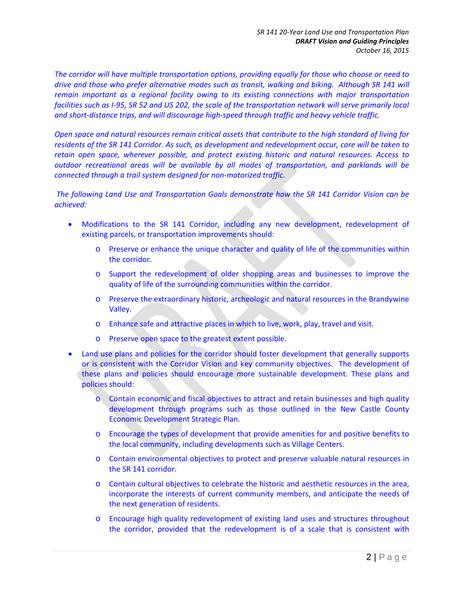*The corridor will have multiple transportation options, providing equally for those who choose or need to drive and those who prefer alternative modes such as transit, walking and biking. Although SR 141 will remain important as a regional facility owing to its existing connections with major transportation facilities such as I-95, SR 52 and US 202, the scale of the transportation network will serve primarily local and short-distance trips, and will discourage high-speed through traffic and heavy vehicle traffic.*

*Open space and natural resources remain critical assets that contribute to the high standard of living for residents of the SR 141 Corridor. As such, as development and redevelopment occur, care will be taken to retain open space, wherever possible, and protect existing historic and natural resources. Access to outdoor recreational areas will be available by all modes of transportation, and parklands will be connected through a trail system designed for non-motorized traffic.*

*The following Land Use and Transportation Goals demonstrate how the SR 141 Corridor Vision can be achieved:*

- Modifications to the SR 141 Corridor, including any new development, redevelopment of existing parcels, or transportation improvements should:
	- o Preserve or enhance the unique character and quality of life of the communities within the corridor.
	- o Support the redevelopment of older shopping areas and businesses to improve the quality of life of the surrounding communities within the corridor.
	- o Preserve the extraordinary historic, archeologic and natural resources in the Brandywine Valley.
	- o Enhance safe and attractive places in which to live, work, play, travel and visit.
	- o Preserve open space to the greatest extent possible.
- Land use plans and policies for the corridor should foster development that generally supports or is consistent with the Corridor Vision and key community objectives. The development of these plans and policies should encourage more sustainable development. These plans and policies should:
	- o Contain economic and fiscal objectives to attract and retain businesses and high quality development through programs such as those outlined in the New Castle County Economic Development Strategic Plan.
	- o Encourage the types of development that provide amenities for and positive benefits to the local community, including developments such as Village Centers.
	- o Contain environmental objectives to protect and preserve valuable natural resources in the SR 141 corridor.
	- o Contain cultural objectives to celebrate the historic and aesthetic resources in the area, incorporate the interests of current community members, and anticipate the needs of the next generation of residents.
	- o Encourage high quality redevelopment of existing land uses and structures throughout the corridor, provided that the redevelopment is of a scale that is consistent with